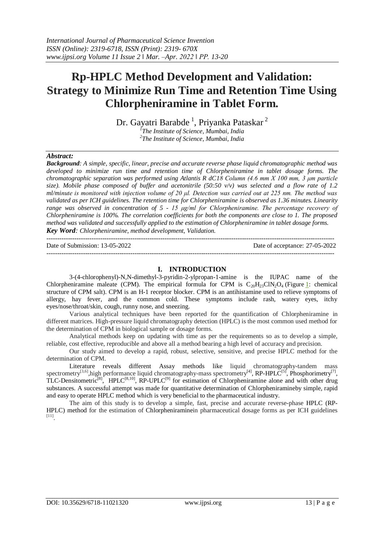# **Rp-HPLC Method Development and Validation: Strategy to Minimize Run Time and Retention Time Using Chlorpheniramine in Tablet Form.**

Dr. Gayatri Barabde <sup>1</sup>, Priyanka Pataskar <sup>2</sup> *1 The Institute of Science, Mumbai, India*

*2 The Institute of Science, Mumbai, India*

#### *Abstract:*

*Background: A simple, specific, linear, precise and accurate reverse phase liquid chromatographic method was developed to minimize run time and retention time of Chlorpheniramine in tablet dosage forms. The chromatographic separation was performed using Atlantis R dC18 Column (4.6 mm X 100 mm, 3 μm particle size). Mobile phase composed of buffer and acetonitrile (50:50 v/v) was selected and a flow rate of 1.2 ml/minute is monitored with injection volume of 20 μl. Detection was carried out at 225 nm. The method was validated as per ICH guidelines. The retention time for Chlorpheniramine is observed as 1.36 minutes. Linearity range was observed in concentration of 5 - 15 μg/ml for Chlorpheniramine. The percentage recovery of Chlorpheniramine is 100%. The correlation coefficients for both the components are close to 1. The proposed method was validated and successfully applied to the estimation of Chlorpheniramine in tablet dosage forms. Key Word: Chlorpheniramine, method development, Validation.*

--------------------------------------------------------------------------------------------------------------------------------------

Date of Submission: 13-05-2022 Date of acceptance: 27-05-2022

#### **I. INTRODUCTION**

3-(4-chlorophenyl)-N,N-dimethyl-3-pyridin-2-ylpropan-1-amine is the IUPAC name of the Chlorpheniramine maleate (CPM). The empirical formula for CPM is  $C_{20}H_{23}C1N_2O_4$  (Figure [1:](https://www.hindawi.com/journals/cri/2013/424865/fig1/) chemical structure of CPM salt). CPM is an H-1 receptor blocker. CPM is an antihistamine used to relieve symptoms of allergy, hay fever, and the common cold. These symptoms include rash, watery eyes, itchy eyes/nose/throat/skin, cough, runny nose, and sneezing.

Various analytical techniques have been reported for the quantification of Chlorpheniramine in different matrices. High-pressure liquid chromatography detection (HPLC) is the most common used method for the determination of CPM in biological sample or dosage forms.

Analytical methods keep on updating with time as per the requirements so as to develop a simple, reliable, cost effective, reproducible and above all a method bearing a high level of accuracy and precision.

Our study aimed to develop a rapid, robust, selective, sensitive, and precise HPLC method for the determination of CPM.

Literature reveals different Assay methods like liquid chromatography-tandem mass spectrometry<sup>[3,6]</sup>,high performance liquid chromatography-mass spectrometry<sup>[4]</sup>, RP-HPLC<sup>[5]</sup>, Phosphorimetry<sup>[7]</sup>,  $TLC$ -Densitometric<sup>[8]</sup>, HPLC<sup>[8,10]</sup>, RP-UPLC<sup>[9]</sup> for estimation of Chlorpheniramine alone and with other drug substances. A successful attempt was made for quantitative determination of Chlorpheniramineby simple, rapid and easy to operate HPLC method which is very beneficial to the pharmaceutical industry.

The aim of this study is to develop a simple, fast, precise and accurate reverse-phase HPLC (RP-HPLC) method for the estimation of Chlorpheniraminein pharmaceutical dosage forms as per ICH guidelines [11] .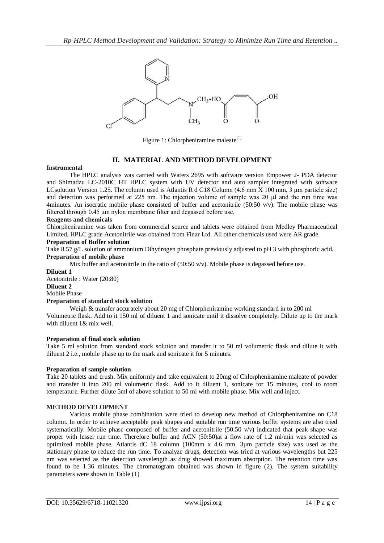

Figure 1: Chlorpheniramine maleate $[1]$ 

#### **II. MATERIAL AND METHOD DEVELOPMENT**

#### **Instrumental**

The HPLC analysis was carried with Waters 2695 with software version Empower 2- PDA detector and Shimadzu LC-2010C HT HPLC system with UV detector and auto sampler integrated with software LCsolution Version 1.25. The column used is Atlantis R d C18 Column (4.6 mm X 100 mm, 3 μm particle size) and detection was performed at 225 nm. The injection volume of sample was 20 μl and the run time was 4minutes. An isocratic mobile phase consisted of buffer and acetonitrile (50:50  $v/v$ ). The mobile phase was filtered through 0.45 μm nylon membrane filter and degassed before use.

#### **Reagents and chemicals**

Chlorpheniramine was taken from commercial source and tablets were obtained from Medley Pharmaceutical Limited. HPLC grade Acetonitrile was obtained from Finar Ltd. All other chemicals used were AR grade.

#### **Preparation of Buffer solution**

Take 8.57 g/L solution of ammonium Dihydrogen phosphate previously adjusted to pH 3 with phosphoric acid. **Preparation of mobile phase**

Mix buffer and acetonitrile in the ratio of (50:50 v/v). Mobile phase is degassed before use.

**Diluent 1** 

Acetonitrile : Water (20:80)

**Diluent 2**

## Mobile Phase

## **Preparation of standard stock solution**

Weigh & transfer accurately about 20 mg of Chlorpheniramine working standard in to 200 ml Volumetric flask. Add to it 150 ml of diluent 1 and sonicate until it dissolve completely. Dilute up to the mark with diluent 1& mix well.

## **Preparation of final stock solution**

Take 5 ml solution from standard stock solution and transfer it to 50 ml volumetric flask and dilute it with diluent 2 i.e., mobile phase up to the mark and sonicate it for 5 minutes.

#### **Preparation of sample solution**

Take 20 tablets and crush. Mix uniformly and take equivalent to 20mg of Chlorpheniramine maleate of powder and transfer it into 200 ml volumetric flask. Add to it diluent 1, sonicate for 15 minutes, cool to room temperature. Further dilute 5ml of above solution to 50 ml with mobile phase. Mix well and inject.

## **METHOD DEVELOPMENT**

Various mobile phase combination were tried to develop new method of Chlorpheniramine on C18 column. In order to achieve acceptable peak shapes and suitable run time various buffer systems are also tried systematically. Mobile phase composed of buffer and acetonitrile  $(50:50 \text{ v/v})$  indicated that peak shape was proper with lesser run time. Therefore buffer and ACN (50:50)at a flow rate of 1.2 ml/min was selected as optimized mobile phase. Atlantis dC 18 column (100mm x 4.6 mm, 3µm particle size) was used as the stationary phase to reduce the run time. To analyze drugs, detection was tried at various wavelengths but 225 nm was selected as the detection wavelength as drug showed maximum absorption. The retention time was found to be 1.36 minutes. The chromatogram obtained was shown in figure (2). The system suitability parameters were shown in Table (1)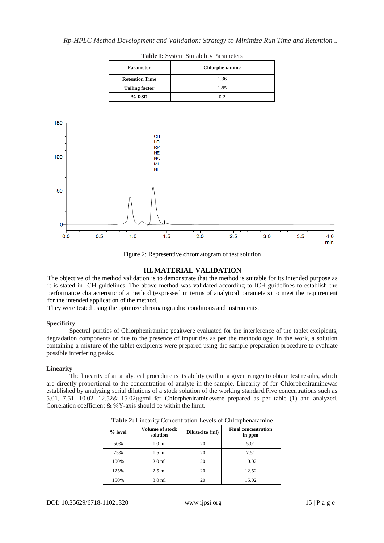| Chlorphenamine |
|----------------|
| 1.36           |
| 1.85           |
| 0.2            |
|                |

**Table I:** System Suitability Parameters



Figure 2: Representive chromatogram of test solution

#### **III.MATERIAL VALIDATION**

The objective of the method validation is to demonstrate that the method is suitable for its intended purpose as it is stated in ICH guidelines. The above method was validated according to ICH guidelines to establish the performance characteristic of a method (expressed in terms of analytical parameters) to meet the requirement for the intended application of the method.

They were tested using the optimize chromatographic conditions and instruments.

#### **Specificity**

Spectral purities of Chlorpheniramine peakwere evaluated for the interference of the tablet excipients, degradation components or due to the presence of impurities as per the methodology. In the work, a solution containing a mixture of the tablet excipients were prepared using the sample preparation procedure to evaluate possible interfering peaks.

#### **Linearity**

The linearity of an analytical procedure is its ability (within a given range) to obtain test results, which are directly proportional to the concentration of analyte in the sample. Linearity of for Chlorpheniraminewas established by analyzing serial dilutions of a stock solution of the working standard.Five concentrations such as 5.01, 7.51, 10.02, 12.52& 15.02μg/ml for Chlorpheniraminewere prepared as per table (1) and analyzed. Correlation coefficient & %Y-axis should be within the limit.

| $%$ level | Volume of stock<br>solution | Diluted to (ml) | <b>Final concentration</b><br>in ppm |
|-----------|-----------------------------|-----------------|--------------------------------------|
| 50%       | 1.0 <sub>m</sub>            | 20              | 5.01                                 |
| 75%       | $1.5$ ml                    | 20              | 7.51                                 |
| 100%      | $2.0$ ml                    | 20              | 10.02                                |
| 125%      | $2.5$ ml                    | 20              | 12.52                                |
| 150%      | 3.0 <sub>m</sub>            | 20              | 15.02                                |

**Table 2:** Linearity Concentration Levels of Chlorphenaramine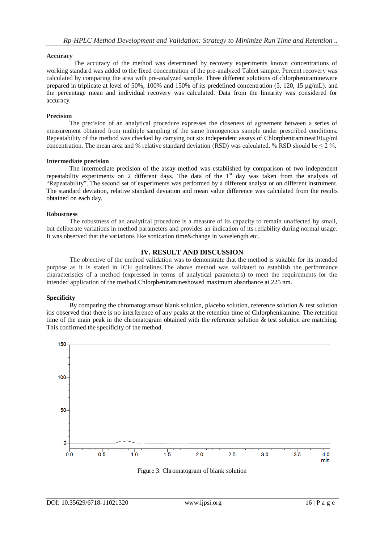#### **Accuracy**

The accuracy of the method was determined by recovery experiments known concentrations of working standard was added to the fixed concentration of the pre-analyzed Tablet sample. Percent recovery was calculated by comparing the area with pre-analyzed sample. Three different solutions of chlorpheniraminewere prepared in triplicate at level of 50%, 100% and 150% of its predefined concentration (5, 120, 15 µg/mL). and the percentage mean and individual recovery was calculated. Data from the linearity was considered for accuracy.

#### **Precision**

The precision of an analytical procedure expresses the closeness of agreement between a series of measurement obtained from multiple sampling of the same homogenous sample under prescribed conditions. Repeatability of the method was checked by carrying out six independent assays of Chlorpheniramineat10ug/ml concentration. The mean area and % relative standard deviation (RSD) was calculated. % RSD should be  $\leq 2\%$ .

#### **Intermediate precision**

The intermediate precision of the assay method was established by comparison of two independent repeatability experiments on 2 different days. The data of the 1<sup>st</sup> day was taken from the analysis of "Repeatability". The second set of experiments was performed by a different analyst or on different instrument. The standard deviation, relative standard deviation and mean value difference was calculated from the results obtained on each day.

#### **Robustness**

The robustness of an analytical procedure is a measure of its capacity to remain unaffected by small, but deliberate variations in method parameters and provides an indication of its reliability during normal usage. It was observed that the variations like sonication time&change in wavelength etc.

## **IV. RESULT AND DISCUSSION**

The objective of the method validation was to demonstrate that the method is suitable for its intended purpose as it is stated in ICH guidelines.The above method was validated to establish the performance characteristics of a method (expressed in terms of analytical parameters) to meet the requirements for the intended application of the method.Chlorpheniramineshowed maximum absorbance at 225 nm.

#### **Specificity**

By comparing the chromatogramsof blank solution, placebo solution, reference solution & test solution itis observed that there is no interference of any peaks at the retention time of Chlorpheniramine. The retention time of the main peak in the chromatogram obtained with the reference solution  $\&$  test solution are matching. This confirmed the specificity of the method.



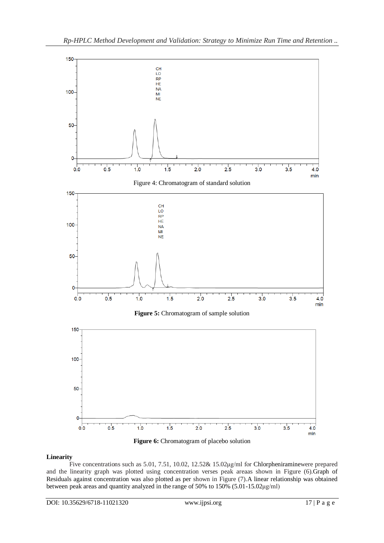



## **Linearity**

Five concentrations such as 5.01, 7.51, 10.02, 12.52& 15.02μg/ml for Chlorpheniraminewere prepared and the linearity graph was plotted using concentration verses peak areaas shown in Figure (6).Graph of Residuals against concentration was also plotted as per shown in Figure (7).A linear relationship was obtained between peak areas and quantity analyzed in the range of 50% to 150% (5.01-15.02μg/ml)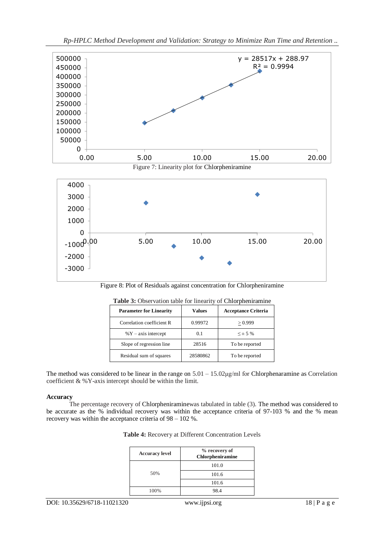



Figure 8: Plot of Residuals against concentration for Chlorpheniramine

| <b>Twore of Sobervation alone for imeality of Chronometrining</b> |               |                            |  |
|-------------------------------------------------------------------|---------------|----------------------------|--|
| <b>Parameter for Linearity</b>                                    | <b>Values</b> | <b>Acceptance Criteria</b> |  |
| Correlation coefficient R                                         | 0.99972       | > 0.999                    |  |
| $\%$ Y – axis intercept                                           | 0.1           | $< \pm 5\%$                |  |
| Slope of regression line                                          | 28516         | To be reported             |  |
| Residual sum of squares                                           | 28580862      | To be reported             |  |

| Table 3: Observation table for linearity of Chlorpheniramine |  |  |
|--------------------------------------------------------------|--|--|
|                                                              |  |  |

The method was considered to be linear in the range on  $5.01 - 15.02\mu\text{g/ml}$  for Chlorphenaramine as Correlation coefficient & %Y-axis intercept should be within the limit.

## **Accuracy**

The percentage recovery of Chlorpheniraminewas tabulated in table (3). The method was considered to be accurate as the % individual recovery was within the acceptance criteria of 97-103 % and the % mean recovery was within the acceptance criteria of 98 – 102 %.

| <b>Accuracy level</b> | % recovery of<br><b>Chlorpheniramine</b> |
|-----------------------|------------------------------------------|
|                       | 101.0                                    |
| 50%                   | 101.6                                    |
|                       | 101.6                                    |
| 100%                  | 98 4                                     |

| Table 4: Recovery at Different Concentration Levels |  |
|-----------------------------------------------------|--|
|-----------------------------------------------------|--|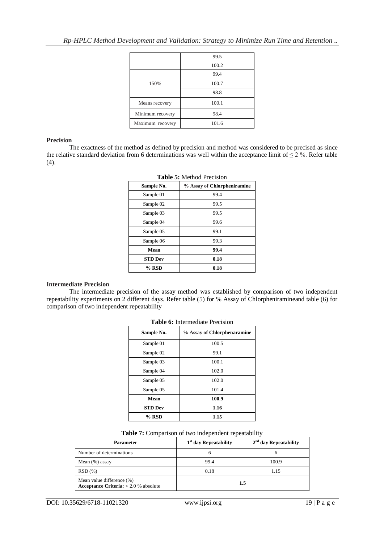|                  | 99.5  |
|------------------|-------|
|                  | 100.2 |
|                  | 99.4  |
| 150%             | 100.7 |
|                  | 98.8  |
| Means recovery   | 100.1 |
| Minimum recovery | 98.4  |
| Maximum recovery | 101.6 |

#### **Precision**

The exactness of the method as defined by precision and method was considered to be precised as since the relative standard deviation from 6 determinations was well within the acceptance limit of  $\leq 2\%$ . Refer table (4).

| Sample No.     | % Assay of Chlorpheniramine |
|----------------|-----------------------------|
| Sample 01      | 99.4                        |
| Sample 02      | 99.5                        |
| Sample 03      | 99.5                        |
| Sample 04      | 99.6                        |
| Sample 05      | 99.1                        |
| Sample 06      | 99.3                        |
| Mean           | 99.4                        |
| <b>STD Dev</b> | 0.18                        |
| % RSD          | 0.18                        |

## **Table 5:** Method Precision

## **Intermediate Precision**

The intermediate precision of the assay method was established by comparison of two independent repeatability experiments on 2 different days. Refer table (5) for % Assay of Chlorpheniramineand table (6) for comparison of two independent repeatability

| Sample No.     | % Assay of Chlorphenaramine |
|----------------|-----------------------------|
| Sample 01      | 100.5                       |
| Sample 02      | 99.1                        |
| Sample 03      | 100.1                       |
| Sample 04      | 102.0                       |
| Sample 05      | 102.0                       |
| Sample 05      | 101.4                       |
| Mean           | 100.9                       |
| <b>STD Dev</b> | 1.16                        |
| $%$ RSD        | 1.15                        |

#### **Table 6:** Intermediate Precision

| Table 7: Comparison of two independent repeatability |  |  |
|------------------------------------------------------|--|--|
|------------------------------------------------------|--|--|

| <b>Parameter</b>                                                     | $1st$ day Repeatability | $2nd$ day Repeatability |
|----------------------------------------------------------------------|-------------------------|-------------------------|
| Number of determinations                                             | h                       |                         |
| Mean $(\%)$ assay                                                    | 99.4                    | 100.9                   |
| RSD(%)                                                               | 0.18                    | 1.15                    |
| Mean value difference (%)<br>Acceptance Criteria: $< 2.0 %$ absolute | 1.5                     |                         |